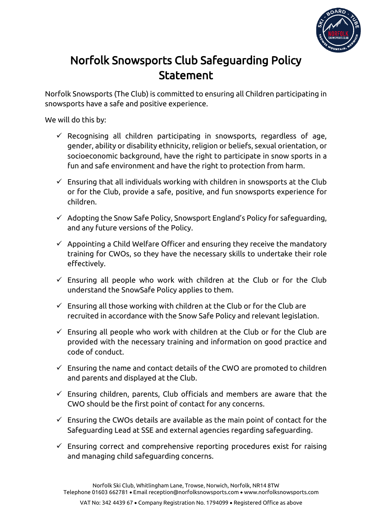

## Norfolk Snowsports Club Safeguarding Policy **Statement**

Norfolk Snowsports (The Club) is committed to ensuring all Children participating in snowsports have a safe and positive experience.

We will do this by:

- $\checkmark$  Recognising all children participating in snowsports, regardless of age, gender, ability or disability ethnicity, religion or beliefs, sexual orientation, or socioeconomic background, have the right to participate in snow sports in a fun and safe environment and have the right to protection from harm.
- $\checkmark$  Ensuring that all individuals working with children in snowsports at the Club or for the Club, provide a safe, positive, and fun snowsports experience for children.
- $\checkmark$  Adopting the Snow Safe Policy, Snowsport England's Policy for safeguarding, and any future versions of the Policy.
- $\checkmark$  Appointing a Child Welfare Officer and ensuring they receive the mandatory training for CWOs, so they have the necessary skills to undertake their role effectively.
- $\checkmark$  Ensuring all people who work with children at the Club or for the Club understand the SnowSafe Policy applies to them.
- $\checkmark$  Ensuring all those working with children at the Club or for the Club are recruited in accordance with the Snow Safe Policy and relevant legislation.
- $\checkmark$  Ensuring all people who work with children at the Club or for the Club are provided with the necessary training and information on good practice and code of conduct.
- $\checkmark$  Ensuring the name and contact details of the CWO are promoted to children and parents and displayed at the Club.
- $\checkmark$  Ensuring children, parents, Club officials and members are aware that the CWO should be the first point of contact for any concerns.
- $\checkmark$  Ensuring the CWOs details are available as the main point of contact for the Safeguarding Lead at SSE and external agencies regarding safeguarding.
- $\checkmark$  Ensuring correct and comprehensive reporting procedures exist for raising and managing child safeguarding concerns.